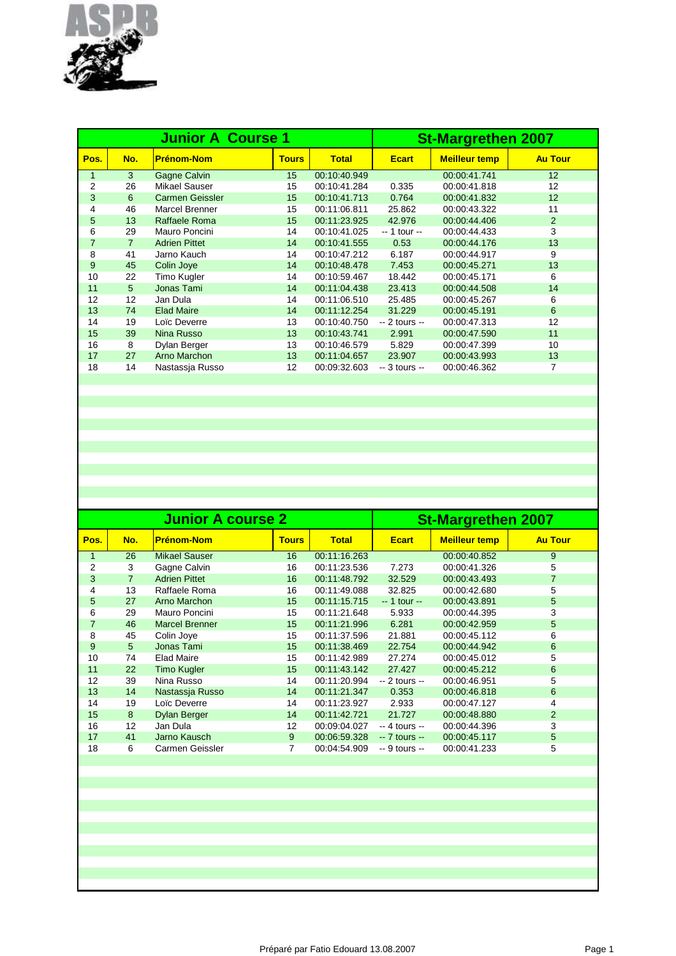

|                |                | <b>Junior A Course 1</b> | <b>St-Margrethen 2007</b> |              |                |                      |                 |
|----------------|----------------|--------------------------|---------------------------|--------------|----------------|----------------------|-----------------|
| Pos.           | No.            | <b>Prénom-Nom</b>        | <b>Tours</b>              | <b>Total</b> | <b>Ecart</b>   | <b>Meilleur temp</b> | <b>Au Tour</b>  |
| $\mathbf{1}$   | 3              | <b>Gagne Calvin</b>      | 15                        | 00:10:40.949 |                | 00:00:41.741         | 12 <sup>2</sup> |
| 2              | 26             | <b>Mikael Sauser</b>     | 15                        | 00:10:41.284 | 0.335          | 00:00:41.818         | 12              |
| 3              | 6              | <b>Carmen Geissler</b>   | 15                        | 00:10:41.713 | 0.764          | 00:00:41.832         | 12              |
| 4              | 46             | <b>Marcel Brenner</b>    | 15                        | 00:11:06.811 | 25.862         | 00:00:43.322         | 11              |
| 5              | 13             | Raffaele Roma            | 15                        | 00:11:23.925 | 42.976         | 00:00:44.406         | $\overline{2}$  |
| 6              | 29             | Mauro Poncini            | 14                        | 00:10:41.025 | -- 1 tour --   | 00:00:44.433         | 3               |
| $\overline{7}$ | $\overline{7}$ | <b>Adrien Pittet</b>     | 14                        | 00:10:41.555 | 0.53           | 00:00:44.176         | 13              |
| 8              | 41             | Jarno Kauch              | 14                        | 00:10:47.212 | 6.187          | 00:00:44.917         | 9               |
| 9              | 45             | Colin Joye               | 14                        | 00:10:48.478 | 7.453          | 00:00:45.271         | 13              |
| 10             | 22             | Timo Kugler              | 14                        | 00:10:59.467 | 18.442         | 00:00:45.171         | 6               |
| 11             | 5              | Jonas Tami               | 14                        | 00:11:04.438 | 23.413         | 00:00:44.508         | 14              |
| 12             | 12             | Jan Dula                 | 14                        | 00:11:06.510 | 25.485         | 00:00:45.267         | 6               |
| 13             | 74             | <b>Elad Maire</b>        | 14                        | 00:11:12.254 | 31.229         | 00:00:45.191         | 6               |
| 14             | 19             | Loïc Deverre             | 13                        | 00:10:40.750 | $-2$ tours $-$ | 00:00:47.313         | 12              |
| 15             | 39             | Nina Russo               | 13                        | 00:10:43.741 | 2.991          | 00:00:47.590         | 11              |
| 16             | 8              | Dylan Berger             | 13                        | 00:10:46.579 | 5.829          | 00:00:47.399         | 10              |
| 17             | 27             | Arno Marchon             | 13                        | 00:11:04.657 | 23.907         | 00:00:43.993         | 13              |
| 18             | 14             | Nastassja Russo          | 12                        | 00:09:32.603 | $-3$ tours $-$ | 00:00:46.362         | 7               |
|                |                |                          |                           |              |                |                      |                 |

|                |                | <b>Junior A course 2</b> |              | <b>St-Margrethen 2007</b> |                |                      |                |
|----------------|----------------|--------------------------|--------------|---------------------------|----------------|----------------------|----------------|
| Pos.           | No.            | <b>Prénom-Nom</b>        | <b>Tours</b> | <b>Total</b>              | <b>Ecart</b>   | <b>Meilleur temp</b> | <b>Au Tour</b> |
| 1              | 26             | Mikael Sauser            | 16           | 00:11:16.263              |                | 00:00:40.852         | 9              |
| 2              | 3              | Gagne Calvin             | 16           | 00:11:23.536              | 7.273          | 00:00:41.326         | 5              |
| 3              | $\overline{7}$ | <b>Adrien Pittet</b>     | 16           | 00:11:48.792              | 32.529         | 00:00:43.493         | 7              |
| 4              | 13             | Raffaele Roma            | 16           | 00:11:49.088              | 32.825         | 00:00:42.680         | 5              |
| 5              | 27             | Arno Marchon             | 15           | 00:11:15.715              | $-1$ tour $-$  | 00:00:43.891         | 5              |
| 6              | 29             | Mauro Poncini            | 15           | 00:11:21.648              | 5.933          | 00:00:44.395         | 3              |
| $\overline{7}$ | 46             | <b>Marcel Brenner</b>    | 15           | 00:11:21.996              | 6.281          | 00:00:42.959         | 5              |
| 8              | 45             | Colin Joye               | 15           | 00:11:37.596              | 21.881         | 00:00:45.112         | 6              |
| 9              | 5              | Jonas Tami               | 15           | 00:11:38.469              | 22.754         | 00:00:44.942         | 6              |
| 10             | 74             | <b>Elad Maire</b>        | 15           | 00:11:42.989              | 27.274         | 00:00:45.012         | 5              |
| 11             | 22             | <b>Timo Kugler</b>       | 15           | 00:11:43.142              | 27.427         | 00:00:45.212         | 6              |
| 12             | 39             | Nina Russo               | 14           | 00:11:20.994              | $-2$ tours $-$ | 00:00:46.951         | 5              |
| 13             | 14             | Nastassia Russo          | 14           | 00:11:21.347              | 0.353          | 00:00:46.818         | 6              |
| 14             | 19             | Loïc Deverre             | 14           | 00:11:23.927              | 2.933          | 00:00:47.127         | 4              |
| 15             | 8              | <b>Dylan Berger</b>      | 14           | 00:11:42.721              | 21.727         | 00:00:48.880         | 2              |
| 16             | 12             | Jan Dula                 | 12           | 00:09:04.027              | $-4$ tours $-$ | 00:00:44.396         | 3              |
| 17             | 41             | Jarno Kausch             | 9            | 00:06:59.328              | $-7$ tours $-$ | 00:00:45.117         | 5              |
| 18             | 6              | Carmen Geissler          | 7            | 00:04:54.909              | $-9$ tours $-$ | 00:00:41.233         | 5              |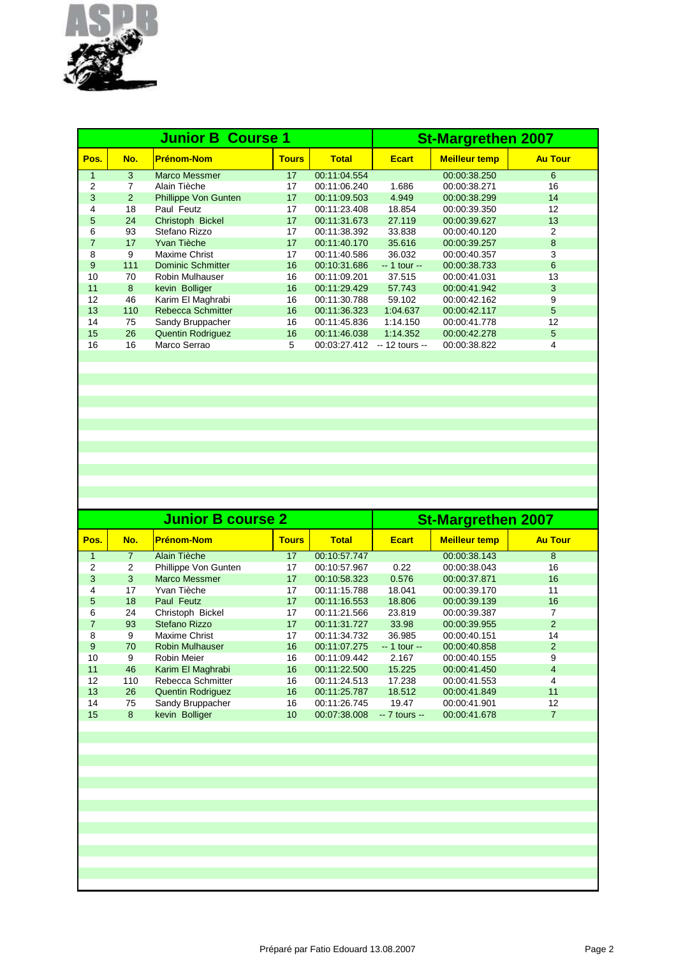

|                |     | <b>Junior B Course 1</b> | <b>St-Margrethen 2007</b> |              |                 |                      |                |
|----------------|-----|--------------------------|---------------------------|--------------|-----------------|----------------------|----------------|
| Pos.           | No. | <b>Prénom-Nom</b>        | <b>Tours</b>              | <b>Total</b> | <b>Ecart</b>    | <b>Meilleur temp</b> | <b>Au Tour</b> |
| $\mathbf{1}$   | 3   | Marco Messmer            | 17                        | 00:11:04.554 |                 | 00:00:38.250         | 6              |
| $\overline{2}$ |     | Alain Tièche             | 17                        | 00:11:06.240 | 1.686           | 00:00:38.271         | 16             |
| 3              | 2   | Phillippe Von Gunten     | 17                        | 00:11:09.503 | 4.949           | 00:00:38.299         | 14             |
| 4              | 18  | Paul Feutz               | 17                        | 00:11:23.408 | 18.854          | 00:00:39.350         | 12             |
| 5              | 24  | Christoph Bickel         | 17                        | 00:11:31.673 | 27.119          | 00:00:39.627         | 13             |
| 6              | 93  | Stefano Rizzo            | 17                        | 00:11:38.392 | 33.838          | 00:00:40.120         | 2              |
| $\overline{7}$ | 17  | Yvan Tièche              | 17                        | 00:11:40.170 | 35.616          | 00:00:39.257         | 8              |
| 8              | 9   | Maxime Christ            | 17                        | 00:11:40.586 | 36.032          | 00:00:40.357         | 3              |
| 9              | 111 | <b>Dominic Schmitter</b> | 16                        | 00:10:31.686 | $-1$ tour $-$   | 00:00:38.733         | 6              |
| 10             | 70  | Robin Mulhauser          | 16                        | 00:11:09.201 | 37.515          | 00:00:41.031         | 13             |
| 11             | 8   | kevin Bolliger           | 16                        | 00:11:29.429 | 57.743          | 00:00:41.942         | 3              |
| 12             | 46  | Karim El Maghrabi        | 16                        | 00:11:30.788 | 59.102          | 00:00:42.162         | 9              |
| 13             | 110 | <b>Rebecca Schmitter</b> | 16                        | 00:11:36.323 | 1:04.637        | 00:00:42.117         | 5              |
| 14             | 75  | Sandy Bruppacher         | 16                        | 00:11:45.836 | 1:14.150        | 00:00:41.778         | 12             |
| 15             | 26  | <b>Quentin Rodriguez</b> | 16                        | 00:11:46.038 | 1:14.352        | 00:00:42.278         | 5              |
| 16             | 16  | Marco Serrao             | 5                         | 00:03:27.412 | $-12$ tours $-$ | 00:00:38.822         | 4              |
|                |     |                          |                           |              |                 |                      |                |

|                |                | <b>Junior B course 2</b> | <b>St-Margrethen 2007</b> |              |                |                      |                |
|----------------|----------------|--------------------------|---------------------------|--------------|----------------|----------------------|----------------|
| Pos.           | No.            | <b>Prénom-Nom</b>        | <b>Tours</b>              | <b>Total</b> | <b>Ecart</b>   | <b>Meilleur temp</b> | <b>Au Tour</b> |
| $\mathbf{1}$   | $\overline{7}$ | Alain Tièche             | 17                        | 00:10:57.747 |                | 00:00:38.143         | 8              |
| $\overline{2}$ | 2              | Phillippe Von Gunten     | 17                        | 00:10:57.967 | 0.22           | 00:00:38.043         | 16             |
| 3              | 3              | Marco Messmer            | 17                        | 00:10:58.323 | 0.576          | 00:00:37.871         | 16             |
| 4              | 17             | Yvan Tièche              | 17                        | 00:11:15.788 | 18.041         | 00:00:39.170         | 11             |
| 5              | 18             | Paul Feutz               | 17                        | 00:11:16.553 | 18,806         | 00:00:39.139         | 16             |
| 6              | 24             | Christoph Bickel         | 17                        | 00:11:21.566 | 23.819         | 00:00:39.387         | 7              |
| $\overline{7}$ | 93             | Stefano Rizzo            | 17                        | 00:11:31.727 | 33.98          | 00:00:39.955         | 2              |
| 8              | 9              | Maxime Christ            | 17                        | 00:11:34.732 | 36.985         | 00:00:40.151         | 14             |
| 9              | 70             | <b>Robin Mulhauser</b>   | 16                        | 00:11:07.275 | -- 1 tour --   | 00:00:40.858         | 2              |
| 10             | 9              | <b>Robin Meier</b>       | 16                        | 00:11:09.442 | 2.167          | 00:00:40.155         | 9              |
| 11             | 46             | Karim El Maghrabi        | 16                        | 00:11:22.500 | 15.225         | 00:00:41.450         | $\overline{4}$ |
| 12             | 110            | Rebecca Schmitter        | 16                        | 00:11:24.513 | 17.238         | 00:00:41.553         | 4              |
| 13             | 26             | <b>Quentin Rodriguez</b> | 16                        | 00:11:25.787 | 18.512         | 00:00:41.849         | 11             |
| 14             | 75             | Sandy Bruppacher         | 16                        | 00:11:26.745 | 19.47          | 00:00:41.901         | 12             |
| 15             | 8              | kevin Bolliger           | 10                        | 00:07:38.008 | $-7$ tours $-$ | 00:00:41.678         | $\overline{7}$ |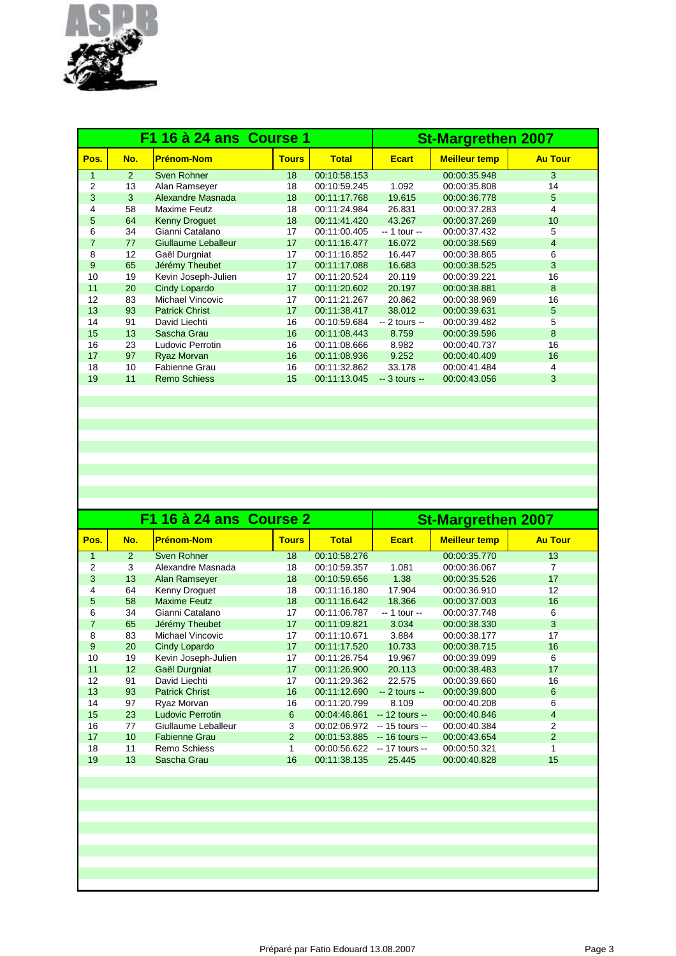

|                |     | F1 16 à 24 ans Course 1 | <b>St-Margrethen 2007</b> |              |                |                      |                 |
|----------------|-----|-------------------------|---------------------------|--------------|----------------|----------------------|-----------------|
| Pos.           | No. | <b>Prénom-Nom</b>       | <b>Tours</b>              | <b>Total</b> | <b>Ecart</b>   | <b>Meilleur temp</b> | <b>Au Tour</b>  |
| $\mathbf{1}$   | 2   | Sven Rohner             | 18                        | 00:10:58.153 |                | 00:00:35.948         | 3               |
| $\overline{2}$ | 13  | Alan Ramseyer           | 18                        | 00:10:59.245 | 1.092          | 00:00:35.808         | 14              |
| 3              | 3   | Alexandre Masnada       | 18                        | 00:11:17.768 | 19.615         | 00:00:36.778         | 5               |
| 4              | 58  | Maxime Feutz            | 18                        | 00:11:24.984 | 26.831         | 00:00:37.283         | 4               |
| 5              | 64  | <b>Kenny Droguet</b>    | 18                        | 00:11:41.420 | 43.267         | 00:00:37.269         | 10 <sup>1</sup> |
| 6              | 34  | Gianni Catalano         | 17                        | 00:11:00.405 | $-1$ tour $-$  | 00:00:37.432         | 5               |
| $\overline{7}$ | 77  | Giullaume Leballeur     | 17                        | 00:11:16.477 | 16.072         | 00:00:38.569         | $\overline{4}$  |
| 8              | 12  | Gaël Durgniat           | 17                        | 00:11:16.852 | 16.447         | 00:00:38.865         | 6               |
| 9              | 65  | Jérémy Theubet          | 17                        | 00:11:17.088 | 16.683         | 00:00:38.525         | 3               |
| 10             | 19  | Kevin Joseph-Julien     | 17                        | 00:11:20.524 | 20.119         | 00:00:39.221         | 16              |
| 11             | 20  | Cindy Lopardo           | 17                        | 00:11:20.602 | 20.197         | 00:00:38.881         | 8               |
| 12             | 83  | Michael Vincovic        | 17                        | 00:11:21.267 | 20.862         | 00:00:38.969         | 16              |
| 13             | 93  | <b>Patrick Christ</b>   | 17                        | 00:11:38.417 | 38.012         | 00:00:39.631         | 5               |
| 14             | 91  | David Liechti           | 16                        | 00:10:59.684 | $-2$ tours $-$ | 00:00:39.482         | 5               |
| 15             | 13  | Sascha Grau             | 16                        | 00:11:08.443 | 8.759          | 00:00:39.596         | 8               |
| 16             | 23  | Ludovic Perrotin        | 16                        | 00:11:08.666 | 8.982          | 00:00:40.737         | 16              |
| 17             | 97  | Ryaz Morvan             | 16                        | 00:11:08.936 | 9.252          | 00:00:40.409         | 16              |
| 18             | 10  | Fabienne Grau           | 16                        | 00:11:32.862 | 33.178         | 00:00:41.484         | 4               |
| 19             | 11  | <b>Remo Schiess</b>     | 15                        | 00:11:13.045 | $-3$ tours $-$ | 00:00:43.056         | 3               |
|                |     |                         |                           |              |                |                      |                 |

|                |                 | F1 16 à 24 ans Course 2 | <b>St-Margrethen 2007</b> |              |                 |                      |                |
|----------------|-----------------|-------------------------|---------------------------|--------------|-----------------|----------------------|----------------|
| Pos.           | No.             | <b>Prénom-Nom</b>       | <b>Tours</b>              | <b>Total</b> | <b>Ecart</b>    | <b>Meilleur temp</b> | <b>Au Tour</b> |
| 1              | 2               | Sven Rohner             | 18                        | 00:10:58.276 |                 | 00:00:35.770         | 13             |
| 2              | 3               | Alexandre Masnada       | 18                        | 00:10:59.357 | 1.081           | 00:00:36.067         | 7              |
| 3              | 13              | Alan Ramseyer           | 18                        | 00:10:59.656 | 1.38            | 00:00:35.526         | 17             |
| 4              | 64              | Kenny Droguet           | 18                        | 00:11:16.180 | 17.904          | 00:00:36.910         | 12             |
| 5              | 58              | <b>Maxime Feutz</b>     | 18                        | 00:11:16.642 | 18.366          | 00:00:37.003         | 16             |
| 6              | 34              | Gianni Catalano         | 17                        | 00:11:06.787 | $-1$ tour $-$   | 00:00:37.748         | 6              |
| $\overline{7}$ | 65              | Jérémy Theubet          | 17                        | 00:11:09.821 | 3.034           | 00:00:38.330         | 3              |
| 8              | 83              | Michael Vincovic        | 17                        | 00:11:10.671 | 3.884           | 00:00:38.177         | 17             |
| 9              | 20              | Cindy Lopardo           | 17                        | 00:11:17.520 | 10.733          | 00:00:38.715         | 16             |
| 10             | 19              | Kevin Joseph-Julien     | 17                        | 00:11:26.754 | 19.967          | 00:00:39.099         | 6              |
| 11             | 12 <sup>2</sup> | Gaël Durgniat           | 17                        | 00:11:26.900 | 20.113          | 00:00:38.483         | 17             |
| 12             | 91              | David Liechti           | 17                        | 00:11:29.362 | 22.575          | 00:00:39.660         | 16             |
| 13             | 93              | <b>Patrick Christ</b>   | 16                        | 00:11:12.690 | $-2$ tours $-$  | 00:00:39.800         | 6              |
| 14             | 97              | Ryaz Morvan             | 16                        | 00:11:20.799 | 8.109           | 00:00:40.208         | 6              |
| 15             | 23              | <b>Ludovic Perrotin</b> | 6                         | 00:04:46.861 | $-12$ tours $-$ | 00:00:40.846         | 4              |
| 16             | 77              | Giullaume Leballeur     | 3                         | 00:02:06.972 | $-15$ tours $-$ | 00:00:40.384         | 2              |
| 17             | 10 <sup>1</sup> | <b>Fabienne Grau</b>    | 2                         | 00:01:53.885 | $-16$ tours $-$ | 00:00:43.654         | 2              |
| 18             | 11              | Remo Schiess            | 1                         | 00:00:56.622 | -- 17 tours --  | 00:00:50.321         |                |
| 19             | 13              | Sascha Grau             | 16                        | 00:11:38.135 | 25.445          | 00:00:40.828         | 15             |
|                |                 |                         |                           |              |                 |                      |                |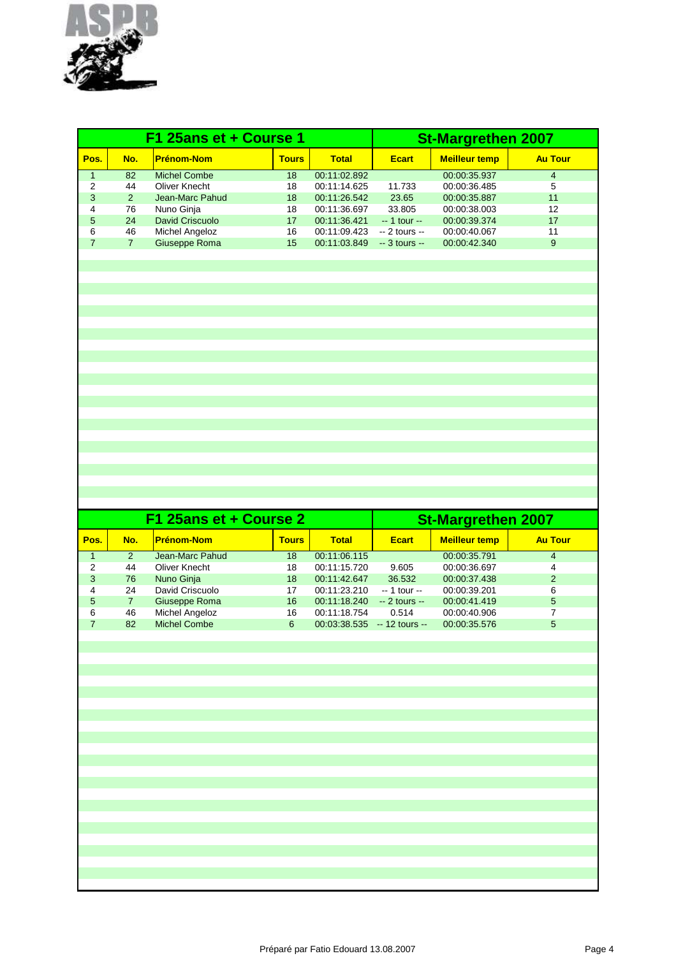

|                |                | F1 25ans et + Course 1 |              |              | <b>St-Margrethen 2007</b> |                      |                |
|----------------|----------------|------------------------|--------------|--------------|---------------------------|----------------------|----------------|
| Pos.           | No.            | <b>Prénom-Nom</b>      | <b>Tours</b> | <b>Total</b> | <b>Ecart</b>              | <b>Meilleur temp</b> | <b>Au Tour</b> |
| $\mathbf{1}$   | 82             | <b>Michel Combe</b>    | 18           | 00:11:02.892 |                           | 00:00:35.937         | $\overline{4}$ |
| $\overline{2}$ | 44             | <b>Oliver Knecht</b>   | 18           | 00:11:14.625 | 11.733                    | 00:00:36.485         | 5              |
| 3              | 2              | Jean-Marc Pahud        | 18           | 00:11:26.542 | 23.65                     | 00:00:35.887         | 11             |
| 4              | 76             | Nuno Ginja             | 18           | 00:11:36.697 | 33.805                    | 00:00:38.003         | 12             |
| 5              | 24             | <b>David Criscuolo</b> | 17           | 00:11:36.421 | $-1$ tour $-$             | 00:00:39.374         | 17             |
| 6              | 46             | Michel Angeloz         | 16           | 00:11:09.423 | $-2$ tours $-$            | 00:00:40.067         | 11             |
| $\overline{7}$ | $\overline{7}$ | Giuseppe Roma          | 15           | 00:11:03.849 | $-3$ tours $-$            | 00:00:42.340         | 9              |
|                |                |                        |              |              |                           |                      |                |
|                |                |                        |              |              |                           |                      |                |
|                |                |                        |              |              |                           |                      |                |
|                |                |                        |              |              |                           |                      |                |
|                |                |                        |              |              |                           |                      |                |
|                |                |                        |              |              |                           |                      |                |
|                |                |                        |              |              |                           |                      |                |
|                |                |                        |              |              |                           |                      |                |
|                |                |                        |              |              |                           |                      |                |
|                |                |                        |              |              |                           |                      |                |
|                |                |                        |              |              |                           |                      |                |
|                |                |                        |              |              |                           |                      |                |
|                |                |                        |              |              |                           |                      |                |
|                |                |                        |              |              |                           |                      |                |
|                |                |                        |              |              |                           |                      |                |
|                |                |                        |              |              |                           |                      |                |
|                |                |                        |              |              |                           |                      |                |
|                |                |                        |              |              |                           |                      |                |
|                |                |                        |              |              |                           |                      |                |
|                |                |                        |              |              |                           |                      |                |
|                |                |                        |              |              |                           |                      |                |
|                |                |                        |              |              |                           |                      |                |

|      |               | F1 25ans et + Course 2 | <b>St-Margrethen 2007</b> |              |                 |                      |                |
|------|---------------|------------------------|---------------------------|--------------|-----------------|----------------------|----------------|
| Pos. | No.           | <b>Prénom-Nom</b>      | <b>Tours</b>              | <b>Total</b> | <b>Ecart</b>    | <b>Meilleur temp</b> | <b>Au Tour</b> |
|      | $\mathcal{P}$ | Jean-Marc Pahud        | 18                        | 00:11:06.115 |                 | 00:00:35.791         | $\overline{4}$ |
| 2    | 44            | Oliver Knecht          | 18                        | 00:11:15.720 | 9.605           | 00:00:36.697         | 4              |
| 3    | 76            | Nuno Ginja             | 18                        | 00:11:42.647 | 36.532          | 00:00:37.438         | 2              |
| 4    | 24            | David Criscuolo        | 17                        | 00:11:23.210 | $-1$ tour $-$   | 00:00:39.201         | 6              |
| 5    | 7             | Giuseppe Roma          | 16                        | 00:11:18.240 | $-2$ tours $-$  | 00:00:41.419         | 5              |
| 6    | 46            | Michel Angeloz         | 16                        | 00:11:18.754 | 0.514           | 00:00:40.906         |                |
|      | 82            | <b>Michel Combe</b>    | 6                         | 00:03:38.535 | $-12$ tours $-$ | 00:00:35.576         | 5              |